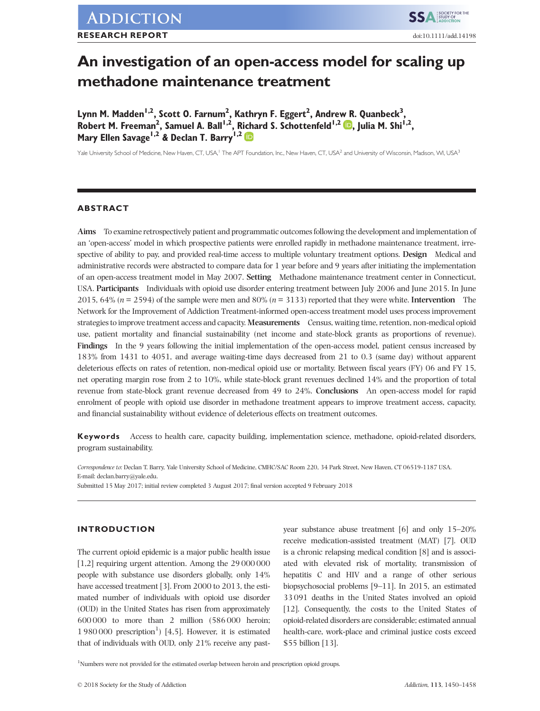# **An investigation of an open-access model for scaling up methadone maintenance treatment**

 $L$ ynn M. Madden<sup>1,2</sup>, Scott O. Farnum<sup>2</sup>, Kathryn F. Eggert<sup>2</sup>, Andre[w](http://orcid.org/0000-0002-8601-0394) [R](http://orcid.org/0000-0002-8601-0394). Quanbeck<sup>3</sup>, Robert M. Freeman<sup>2</sup>, Samuel A. Ball<sup>1,2</sup>, Richard S. Schottenfeld<sup>1,2</sup> D, Julia M. Shi<sup>1,2</sup>, Mary Ellen Savage<sup>1,2</sup> & Declan T. Barry<sup>1,2</sup>

Yale University School of Medicine, New Haven, CT, USA,<sup>1</sup> The APT Foundation, Inc., New Haven, CT, USA<sup>2</sup> and University of Wisconsin, Madison, WI, USA<sup>3</sup>

# **ABSTRACT**

**Aims** To examine retrospectively patient and programmatic outcomes following the development and implementation of an 'open-access' model in which prospective patients were enrolled rapidly in methadone maintenance treatment, irrespective of ability to pay, and provided real-time access to multiple voluntary treatment options. **Design** Medical and administrative records were abstracted to compare data for 1 year before and 9 years after initiating the implementation of an open-access treatment model in May 2007. **Setting** Methadone maintenance treatment center in Connecticut, USA. **Participants** Individuals with opioid use disorder entering treatment between July 2006 and June 2015. In June 2015, 64% (*n* = 2594) of the sample were men and 80% (*n* = 3133) reported that they were white. **Intervention** The Network for the Improvement of Addiction Treatment-informed open-access treatment model uses process improvement strategies to improve treatment access and capacity. **Measurements** Census, waiting time, retention, non-medical opioid use, patient mortality and financial sustainability (net income and state-block grants as proportions of revenue). **Findings** In the 9 years following the initial implementation of the open-access model, patient census increased by 183% from 1431 to 4051, and average waiting-time days decreased from 21 to 0.3 (same day) without apparent deleterious effects on rates of retention, non-medical opioid use or mortality. Between fiscal years (FY) 06 and FY 15, net operating margin rose from 2 to 10%, while state-block grant revenues declined 14% and the proportion of total revenue from state-block grant revenue decreased from 49 to 24%. **Conclusions** An open-access model for rapid enrolment of people with opioid use disorder in methadone treatment appears to improve treatment access, capacity, and financial sustainability without evidence of deleterious effects on treatment outcomes.

**Keywords** Access to health care, capacity building, implementation science, methadone, opioid-related disorders, program sustainability.

*Correspondence to:* Declan T. Barry, Yale University School of Medicine, CMHC/SAC Room 220, 34 Park Street, New Haven, CT 06519-1187 USA. E-mail: declan.barry@yale.edu. Submitted 15 May 2017; initial review completed 3 August 2017; final version accepted 9 February 2018

# **INTRODUCTION**

The current opioid epidemic is a major public health issue [1,2] requiring urgent attention. Among the 29 000 000 people with substance use disorders globally, only 14% have accessed treatment [3]. From 2000 to 2013, the estimated number of individuals with opioid use disorder (OUD) in the United States has risen from approximately 600 000 to more than 2 million (586 000 heroin; 1 980 000 prescription<sup>1</sup>) [4,5]. However, it is estimated that of individuals with OUD, only 21% receive any pastyear substance abuse treatment [6] and only 15–20% receive medication-assisted treatment (MAT) [7]. OUD is a chronic relapsing medical condition [8] and is associated with elevated risk of mortality, transmission of hepatitis C and HIV and a range of other serious biopsychosocial problems [9–11]. In 2015, an estimated 33 091 deaths in the United States involved an opioid [12]. Consequently, the costs to the United States of opioid-related disorders are considerable; estimated annual health-care, work-place and criminal justice costs exceed \$55 billion [13].

<sup>1</sup>Numbers were not provided for the estimated overlap between heroin and prescription opioid groups.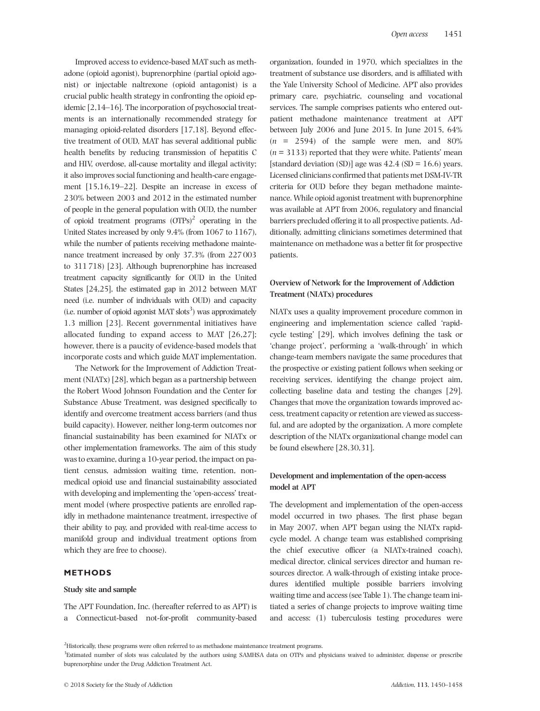Improved access to evidence-based MAT such as methadone (opioid agonist), buprenorphine (partial opioid agonist) or injectable naltrexone (opioid antagonist) is a crucial public health strategy in confronting the opioid epidemic [2,14–16]. The incorporation of psychosocial treatments is an internationally recommended strategy for managing opioid-related disorders [17,18]. Beyond effective treatment of OUD, MAT has several additional public health benefits by reducing transmission of hepatitis C and HIV, overdose, all-cause mortality and illegal activity; it also improves social functioning and health-care engagement [15,16,19–22]. Despite an increase in excess of 230% between 2003 and 2012 in the estimated number of people in the general population with OUD, the number of opioid treatment programs  $(OTPs)^2$  operating in the United States increased by only 9.4% (from 1067 to 1167), while the number of patients receiving methadone maintenance treatment increased by only 37.3% (from 227 003 to 311 718) [23]. Although buprenorphine has increased treatment capacity significantly for OUD in the United States [24,25], the estimated gap in 2012 between MAT need (i.e. number of individuals with OUD) and capacity  $(i.e.$  number of opioid agonist MAT slots<sup>3</sup>) was approximately 1.3 million [23]. Recent governmental initiatives have allocated funding to expand access to MAT [26,27]; however, there is a paucity of evidence-based models that incorporate costs and which guide MAT implementation.

The Network for the Improvement of Addiction Treatment (NIATx) [28], which began as a partnership between the Robert Wood Johnson Foundation and the Center for Substance Abuse Treatment, was designed specifically to identify and overcome treatment access barriers (and thus build capacity). However, neither long-term outcomes nor financial sustainability has been examined for NIATx or other implementation frameworks. The aim of this study was to examine, during a 10-year period, the impact on patient census, admission waiting time, retention, nonmedical opioid use and financial sustainability associated with developing and implementing the 'open-access' treatment model (where prospective patients are enrolled rapidly in methadone maintenance treatment, irrespective of their ability to pay, and provided with real-time access to manifold group and individual treatment options from which they are free to choose).

# **METHODS**

# **Study site and sample**

The APT Foundation, Inc. (hereafter referred to as APT) is a Connecticut-based not-for-profit community-based

organization, founded in 1970, which specializes in the treatment of substance use disorders, and is affiliated with the Yale University School of Medicine. APT also provides primary care, psychiatric, counseling and vocational services. The sample comprises patients who entered outpatient methadone maintenance treatment at APT between July 2006 and June 2015. In June 2015, 64%  $(n = 2594)$  of the sample were men, and  $80\%$  $(n = 3133)$  reported that they were white. Patients' mean [standard deviation (SD)] age was  $42.4$  (SD = 16.6) years. Licensed clinicians confirmed that patients met DSM-IV-TR criteria for OUD before they began methadone maintenance. While opioid agonist treatment with buprenorphine was available at APT from 2006, regulatory and financial barriers precluded offering it to all prospective patients. Additionally, admitting clinicians sometimes determined that maintenance on methadone was a better fit for prospective patients.

# **Overview of Network for the Improvement of Addiction Treatment (NIATx) procedures**

NIATx uses a quality improvement procedure common in engineering and implementation science called 'rapidcycle testing' [29], which involves defining the task or 'change project', performing a 'walk-through' in which change-team members navigate the same procedures that the prospective or existing patient follows when seeking or receiving services, identifying the change project aim, collecting baseline data and testing the changes [29]. Changes that move the organization towards improved access, treatment capacity or retention are viewed as successful, and are adopted by the organization. A more complete description of the NIATx organizational change model can be found elsewhere [28,30,31].

# **Development and implementation of the open-access model at APT**

The development and implementation of the open-access model occurred in two phases. The first phase began in May 2007, when APT began using the NIATx rapidcycle model. A change team was established comprising the chief executive officer (a NIATx-trained coach), medical director, clinical services director and human resources director. A walk-through of existing intake procedures identified multiple possible barriers involving waiting time and access (see Table 1). The change team initiated a series of change projects to improve waiting time and access: (1) tuberculosis testing procedures were

<sup>&</sup>lt;sup>2</sup>Historically, these programs were often referred to as methadone maintenance treatment programs.

<sup>3</sup> Estimated number of slots was calculated by the authors using SAMHSA data on OTPs and physicians waived to administer, dispense or prescribe buprenorphine under the Drug Addiction Treatment Act.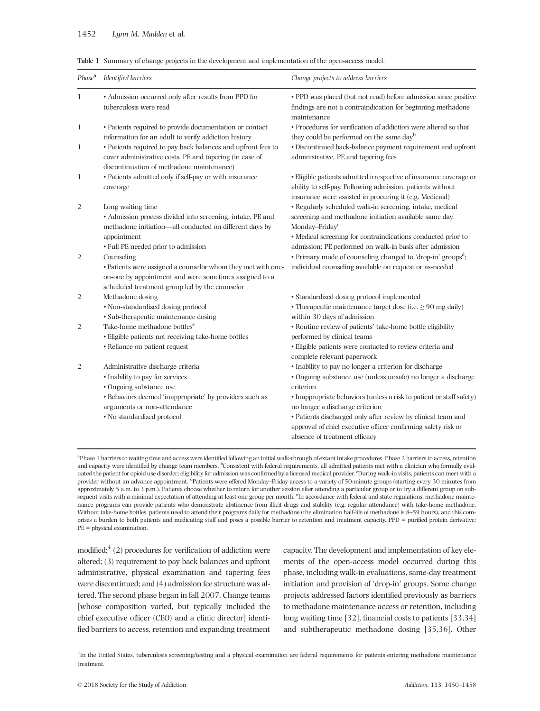**Table 1** Summary of change projects in the development and implementation of the open-access model.

| Phase <sup>a</sup> | Identified barriers                                                                                                                                                                                                     | Change projects to address barriers                                                                                                                                                                                                                                                                                                                                                                               |
|--------------------|-------------------------------------------------------------------------------------------------------------------------------------------------------------------------------------------------------------------------|-------------------------------------------------------------------------------------------------------------------------------------------------------------------------------------------------------------------------------------------------------------------------------------------------------------------------------------------------------------------------------------------------------------------|
| 1                  | • Admission occurred only after results from PPD for<br>tuberculosis were read                                                                                                                                          | • PPD was placed (but not read) before admission since positive<br>findings are not a contraindication for beginning methadone<br>maintenance                                                                                                                                                                                                                                                                     |
| 1                  | • Patients required to provide documentation or contact<br>information for an adult to verify addiction history                                                                                                         | • Procedures for verification of addiction were altered so that<br>they could be performed on the same day <sup>b</sup>                                                                                                                                                                                                                                                                                           |
| 1                  | • Patients required to pay back balances and upfront fees to<br>cover administrative costs, PE and tapering (in case of<br>discontinuation of methadone maintenance)                                                    | • Discontinued back-balance payment requirement and upfront<br>administrative, PE and tapering fees                                                                                                                                                                                                                                                                                                               |
| 1                  | • Patients admitted only if self-pay or with insurance<br>coverage                                                                                                                                                      | · Eligible patients admitted irrespective of insurance coverage or<br>ability to self-pay. Following admission, patients without<br>insurance were assisted in procuring it (e.g. Medicaid)                                                                                                                                                                                                                       |
| 2                  | Long waiting time<br>• Admission process divided into screening, intake, PE and<br>methadone initiation-all conducted on different days by<br>appointment<br>• Full PE needed prior to admission                        | • Regularly scheduled walk-in screening, intake, medical<br>screening and methadone initiation available same day,<br>Monday-Friday <sup>c</sup><br>• Medical screening for contraindications conducted prior to<br>admission; PE performed on walk-in basis after admission                                                                                                                                      |
| 2                  | Counseling<br>• Patients were assigned a counselor whom they met with one-<br>on-one by appointment and were sometimes assigned to a<br>scheduled treatment group led by the counselor                                  | • Primary mode of counseling changed to 'drop-in' groups <sup>d</sup> ;<br>individual counseling available on request or as-needed                                                                                                                                                                                                                                                                                |
| 2                  | Methadone dosing<br>• Non-standardized dosing protocol<br>• Sub-therapeutic maintenance dosing                                                                                                                          | • Standardized dosing protocol implemented<br>• Therapeutic maintenance target dose (i.e. $\geq 90$ mg daily)<br>within 30 days of admission                                                                                                                                                                                                                                                                      |
| 2                  | Take-home methadone bottles <sup>e</sup><br>· Eligible patients not receiving take-home bottles<br>• Reliance on patient request                                                                                        | • Routine review of patients' take-home bottle eligibility<br>performed by clinical teams<br>· Eligible patients were contacted to review criteria and<br>complete relevant paperwork                                                                                                                                                                                                                             |
| 2                  | Administrative discharge criteria<br>• Inability to pay for services<br>• Ongoing substance use<br>• Behaviors deemed 'inappropriate' by providers such as<br>arguments or non-attendance<br>• No standardized protocol | • Inability to pay no longer a criterion for discharge<br>• Ongoing substance use (unless unsafe) no longer a discharge<br>criterion<br>• Inappropriate behaviors (unless a risk to patient or staff safety)<br>no longer a discharge criterion<br>• Patients discharged only after review by clinical team and<br>approval of chief executive officer confirming safety risk or<br>absence of treatment efficacy |

<sup>a</sup>Phase 1 barriers to waiting time and access were identified following an initial walk-through of extant intake procedures. Phase 2 barriers to access, retention and capacity were identified by change team members. <sup>b</sup>Consistent with federal requirements, all admitted patients met with a clinician who formally evaluated the patient for opioid use disorder; eligibility for admission was confirmed by a licensed medical provider. <sup>c</sup>During walk-in visits, patients can meet with a provider without an advance appointment. <sup>d</sup>Patients were offered Monday–Friday access to a variety of 50-minute groups (starting every 30 minutes from approximately 5 a.m. to 3 p.m.). Patients choose whether to return for another session after attending a particular group or to try a different group on subsequent visits with a minimal expectation of attending at least one group per month. <sup>e</sup>In accordance with federal and state regulations, methadone maintenance programs can provide patients who demonstrate abstinence from illicit drugs and stability (e.g. regular attendance) with take-home methadone. Without take-home bottles, patients need to attend their programs daily for methadone (the elimination half-life of methadone is 8–59 hours), and this comprises a burden to both patients and medicating staff and poses a possible barrier to retention and treatment capacity. PPD = purified protein derivative; PE = physical examination.

modified; $4(2)$  procedures for verification of addiction were altered; (3) requirement to pay back balances and upfront administrative, physical examination and tapering fees were discontinued; and (4) admission fee structure was altered. The second phase began in fall 2007. Change teams [whose composition varied, but typically included the chief executive officer (CEO) and a clinic director] identified barriers to access, retention and expanding treatment

capacity. The development and implementation of key elements of the open-access model occurred during this phase, including walk-in evaluations, same-day treatment initiation and provision of 'drop-in' groups. Some change projects addressed factors identified previously as barriers to methadone maintenance access or retention, including long waiting time [32], financial costs to patients [33,34] and subtherapeutic methadone dosing [35,36]. Other

<sup>4</sup>In the United States, tuberculosis screening/testing and a physical examination are federal requirements for patients entering methadone maintenance treatment.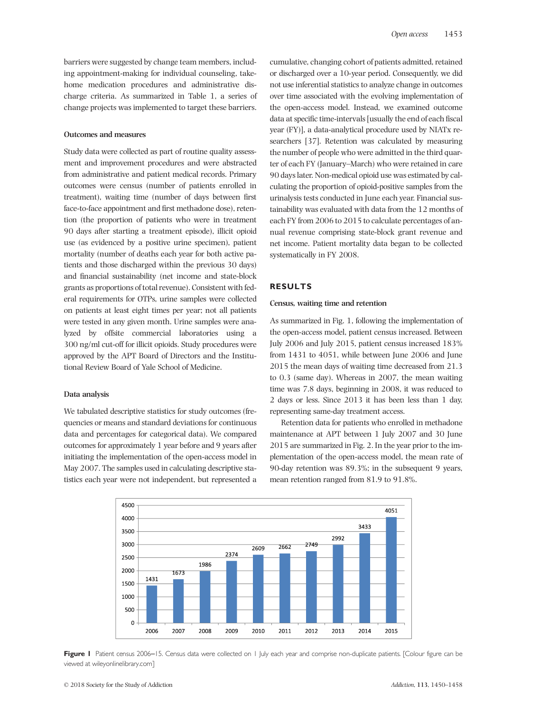barriers were suggested by change team members, including appointment-making for individual counseling, takehome medication procedures and administrative discharge criteria. As summarized in Table 1, a series of change projects was implemented to target these barriers.

#### **Outcomes and measures**

Study data were collected as part of routine quality assessment and improvement procedures and were abstracted from administrative and patient medical records. Primary outcomes were census (number of patients enrolled in treatment), waiting time (number of days between first face-to-face appointment and first methadone dose), retention (the proportion of patients who were in treatment 90 days after starting a treatment episode), illicit opioid use (as evidenced by a positive urine specimen), patient mortality (number of deaths each year for both active patients and those discharged within the previous 30 days) and financial sustainability (net income and state-block grants as proportions of total revenue). Consistent with federal requirements for OTPs, urine samples were collected on patients at least eight times per year; not all patients were tested in any given month. Urine samples were analyzed by offsite commercial laboratories using a 300 ng/ml cut-off for illicit opioids. Study procedures were approved by the APT Board of Directors and the Institutional Review Board of Yale School of Medicine.

### **Data analysis**

We tabulated descriptive statistics for study outcomes (frequencies or means and standard deviations for continuous data and percentages for categorical data). We compared outcomes for approximately 1 year before and 9 years after initiating the implementation of the open-access model in May 2007. The samples used in calculating descriptive statistics each year were not independent, but represented a

cumulative, changing cohort of patients admitted, retained or discharged over a 10-year period. Consequently, we did not use inferential statistics to analyze change in outcomes over time associated with the evolving implementation of the open-access model. Instead, we examined outcome data at specific time-intervals [usually the end of each fiscal year (FY)], a data-analytical procedure used by NIATx researchers [37]. Retention was calculated by measuring the number of people who were admitted in the third quarter of each FY (January–March) who were retained in care 90 days later. Non-medical opioid use was estimated by calculating the proportion of opioid-positive samples from the urinalysis tests conducted in June each year. Financial sustainability was evaluated with data from the 12 months of each FY from 2006 to 2015 to calculate percentages of annual revenue comprising state-block grant revenue and net income. Patient mortality data began to be collected systematically in FY 2008.

# **RESULTS**

#### **Census, waiting time and retention**

As summarized in Fig. 1, following the implementation of the open-access model, patient census increased. Between July 2006 and July 2015, patient census increased 183% from 1431 to 4051, while between June 2006 and June 2015 the mean days of waiting time decreased from 21.3 to 0.3 (same day). Whereas in 2007, the mean waiting time was 7.8 days, beginning in 2008, it was reduced to 2 days or less. Since 2013 it has been less than 1 day, representing same-day treatment access.

Retention data for patients who enrolled in methadone maintenance at APT between 1 July 2007 and 30 June 2015 are summarized in Fig. 2. In the year prior to the implementation of the open-access model, the mean rate of 90-day retention was 89.3%; in the subsequent 9 years, mean retention ranged from 81.9 to 91.8%.



Figure 1 Patient census 2006–15. Census data were collected on 1 July each year and comprise non-duplicate patients. [Colour figure can be viewed at [wileyonlinelibrary.com](http://wileyonlinelibrary.com)]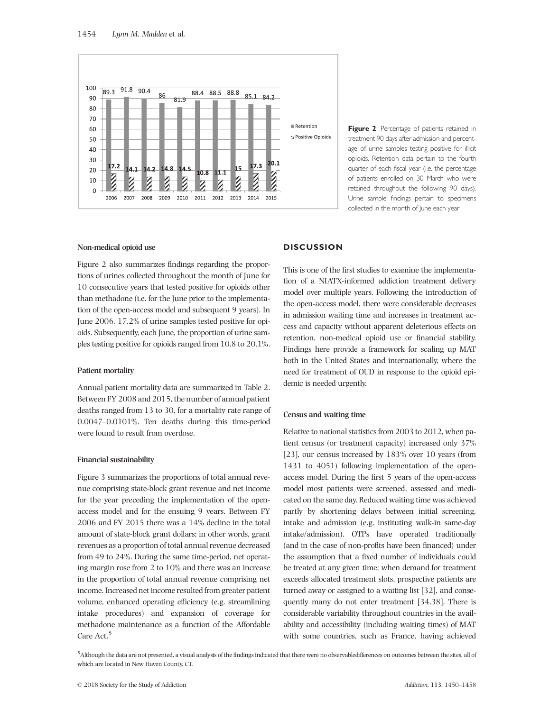

**Figure 2** Percentage of patients retained in treatment 90 days after admission and percentage of urine samples testing positive for illicit opioids. Retention data pertain to the fourth quarter of each fiscal year (i.e. the percentage of patients enrolled on 30 March who were retained throughout the following 90 days). Urine sample findings pertain to specimens collected in the month of June each year

#### **Non-medical opioid use**

Figure 2 also summarizes findings regarding the proportions of urines collected throughout the month of June for 10 consecutive years that tested positive for opioids other than methadone (i.e. for the June prior to the implementation of the open-access model and subsequent 9 years). In June 2006, 17.2% of urine samples tested positive for opioids. Subsequently, each June, the proportion of urine samples testing positive for opioids ranged from 10.8 to 20.1%.

#### **Patient mortality**

Annual patient mortality data are summarized in Table 2. Between FY 2008 and 2015, the number of annual patient deaths ranged from 13 to 30, for a mortality rate range of 0.0047–0.0101%. Ten deaths during this time-period were found to result from overdose.

# **Financial sustainability**

Figure 3 summarizes the proportions of total annual revenue comprising state-block grant revenue and net income for the year preceding the implementation of the openaccess model and for the ensuing 9 years. Between FY 2006 and FY 2015 there was a 14% decline in the total amount of state-block grant dollars; in other words, grant revenues as a proportion of total annual revenue decreased from 49 to 24%. During the same time-period, net operating margin rose from 2 to 10% and there was an increase in the proportion of total annual revenue comprising net income. Increased net income resulted from greater patient volume, enhanced operating efficiency (e.g. streamlining intake procedures) and expansion of coverage for methadone maintenance as a function of the Affordable Care Act.<sup>5</sup>

# **DISCUSSION**

This is one of the first studies to examine the implementation of a NIATX-informed addiction treatment delivery model over multiple years. Following the introduction of the open-access model, there were considerable decreases in admission waiting time and increases in treatment access and capacity without apparent deleterious effects on retention, non-medical opioid use or financial stability. Findings here provide a framework for scaling up MAT both in the United States and internationally, where the need for treatment of OUD in response to the opioid epidemic is needed urgently.

# **Census and waiting time**

Relative to national statistics from 2003 to 2012, when patient census (or treatment capacity) increased only 37% [23], our census increased by 183% over 10 years (from 1431 to 4051) following implementation of the openaccess model. During the first 5 years of the open-access model most patients were screened, assessed and medicated on the same day. Reduced waiting time was achieved partly by shortening delays between initial screening, intake and admission (e.g. instituting walk-in same-day intake/admission). OTPs have operated traditionally (and in the case of non-profits have been financed) under the assumption that a fixed number of individuals could be treated at any given time: when demand for treatment exceeds allocated treatment slots, prospective patients are turned away or assigned to a waiting list [32], and consequently many do not enter treatment [34,38]. There is considerable variability throughout countries in the availability and accessibility (including waiting times) of MAT with some countries, such as France, having achieved

<sup>5</sup>Although the data are not presented, a visual analysis of the findings indicated that there were no observabledifferences on outcomes between the sites, all of which are located in New Haven County, CT.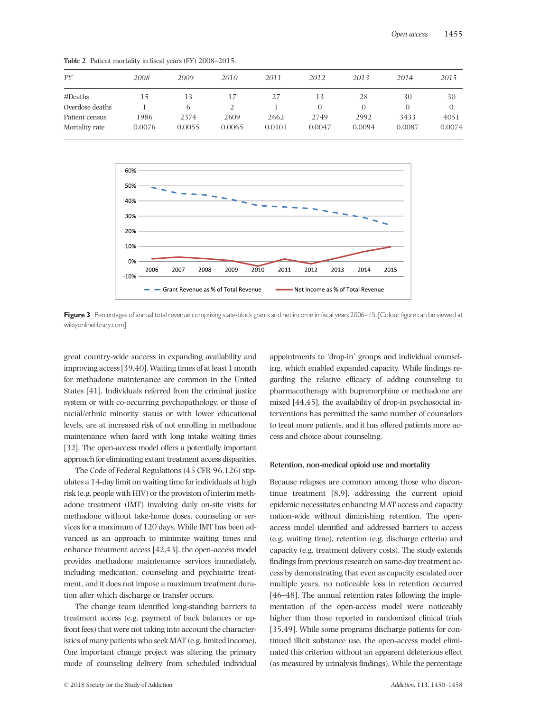| FY                               | 2008           | 2009           | 2010           | 2011           | 2012             | 2013           | 2014           | 2015           |
|----------------------------------|----------------|----------------|----------------|----------------|------------------|----------------|----------------|----------------|
| $\#$ Deaths                      | 15             | 13             | 17             | 27             | 13               | 28             | 30             | 30             |
| Overdose deaths                  |                | h              |                |                | $\left( \right)$ | $\Omega$       |                |                |
| Patient census<br>Mortality rate | 1986<br>0.0076 | 2374<br>0.0055 | 2609<br>0.0065 | 2662<br>0.0101 | 2749<br>0.0047   | 2992<br>0.0094 | 3433<br>0.0087 | 4051<br>0.0074 |
|                                  |                |                |                |                |                  |                |                |                |

**Table 2** Patient mortality in fiscal years (FY) 2008–2015.



Figure 3 Percentages of annual total revenue comprising state-block grants and net income in fiscal years 2006–15. [Colour figure can be viewed at [wileyonlinelibrary.com](http://wileyonlinelibrary.com)]

great country-wide success in expanding availability and improving access [39,40].Waiting times of at least 1 month for methadone maintenance are common in the United States [41]. Individuals referred from the criminal justice system or with co-occurring psychopathology, or those of racial/ethnic minority status or with lower educational levels, are at increased risk of not enrolling in methadone maintenance when faced with long intake waiting times [32]. The open-access model offers a potentially important approach for eliminating extant treatment access disparities.

The Code of Federal Regulations (45 CFR 96.126) stipulates a 14-day limit on waiting time for individuals at high risk (e.g. people with HIV) or the provision of interim methadone treatment (IMT) involving daily on-site visits for methadone without take-home doses, counseling or services for a maximum of 120 days. While IMT has been advanced as an approach to minimize waiting times and enhance treatment access [42,43], the open-access model provides methadone maintenance services immediately, including medication, counseling and psychiatric treatment, and it does not impose a maximum treatment duration after which discharge or transfer occurs.

The change team identified long-standing barriers to treatment access (e.g. payment of back balances or upfront fees) that were not taking into account the characteristics of many patients who seek MAT (e.g. limited income). One important change project was altering the primary mode of counseling delivery from scheduled individual appointments to 'drop-in' groups and individual counseling, which enabled expanded capacity. While findings regarding the relative efficacy of adding counseling to pharmacotherapy with buprenorphine or methadone are mixed [44,45], the availability of drop-in psychosocial interventions has permitted the same number of counselors to treat more patients, and it has offered patients more access and choice about counseling.

# **Retention, non-medical opioid use and mortality**

Because relapses are common among those who discontinue treatment [8,9], addressing the current opioid epidemic necessitates enhancing MAT access and capacity nation-wide without diminishing retention. The openaccess model identified and addressed barriers to access (e.g. waiting time), retention (e.g. discharge criteria) and capacity (e.g. treatment delivery costs). The study extends findings from previous research on same-day treatment access by demonstrating that even as capacity escalated over multiple years, no noticeable loss in retention occurred [46–48]. The annual retention rates following the implementation of the open-access model were noticeably higher than those reported in randomized clinical trials [35,49]. While some programs discharge patients for continued illicit substance use, the open-access model eliminated this criterion without an apparent deleterious effect (as measured by urinalysis findings). While the percentage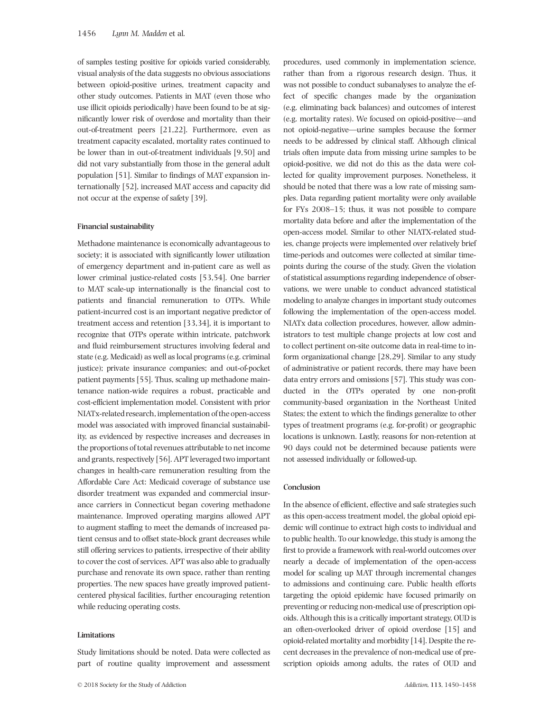of samples testing positive for opioids varied considerably, visual analysis of the data suggests no obvious associations between opioid-positive urines, treatment capacity and other study outcomes. Patients in MAT (even those who use illicit opioids periodically) have been found to be at significantly lower risk of overdose and mortality than their out-of-treatment peers [21,22]. Furthermore, even as treatment capacity escalated, mortality rates continued to be lower than in out-of-treatment individuals [9,50] and did not vary substantially from those in the general adult population [51]. Similar to findings of MAT expansion internationally [52], increased MAT access and capacity did not occur at the expense of safety [39].

### **Financial sustainability**

Methadone maintenance is economically advantageous to society; it is associated with significantly lower utilization of emergency department and in-patient care as well as lower criminal justice-related costs [53,54]. One barrier to MAT scale-up internationally is the financial cost to patients and financial remuneration to OTPs. While patient-incurred cost is an important negative predictor of treatment access and retention [33,34], it is important to recognize that OTPs operate within intricate, patchwork and fluid reimbursement structures involving federal and state (e.g. Medicaid) as well as local programs (e.g. criminal justice); private insurance companies; and out-of-pocket patient payments [55]. Thus, scaling up methadone maintenance nation-wide requires a robust, practicable and cost-efficient implementation model. Consistent with prior NIATx-related research, implementation of the open-access model was associated with improved financial sustainability, as evidenced by respective increases and decreases in the proportions of total revenues attributable to net income and grants, respectively [56]. APT leveraged two important changes in health-care remuneration resulting from the Affordable Care Act: Medicaid coverage of substance use disorder treatment was expanded and commercial insurance carriers in Connecticut began covering methadone maintenance. Improved operating margins allowed APT to augment staffing to meet the demands of increased patient census and to offset state-block grant decreases while still offering services to patients, irrespective of their ability to cover the cost of services. APT was also able to gradually purchase and renovate its own space, rather than renting properties. The new spaces have greatly improved patientcentered physical facilities, further encouraging retention while reducing operating costs.

#### **Limitations**

Study limitations should be noted. Data were collected as part of routine quality improvement and assessment

© 2018 Society for the Study of Addiction *Addiction*, **113**, 1450–1458

In the absence of efficient, effective and safe strategies such as this open-access treatment model, the global opioid epidemic will continue to extract high costs to individual and to public health. To our knowledge, this study is among the first to provide a framework with real-world outcomes over nearly a decade of implementation of the open-access model for scaling up MAT through incremental changes to admissions and continuing care. Public health efforts targeting the opioid epidemic have focused primarily on preventing or reducing non-medical use of prescription opioids. Although this is a critically important strategy, OUD is an often-overlooked driver of opioid overdose [15] and opioid-related mortality and morbidity [14]. Despite the recent decreases in the prevalence of non-medical use of pre-

scription opioids among adults, the rates of OUD and

was not possible to conduct subanalyses to analyze the effect of specific changes made by the organization (e.g. eliminating back balances) and outcomes of interest (e.g. mortality rates). We focused on opioid-positive—and not opioid-negative—urine samples because the former needs to be addressed by clinical staff. Although clinical trials often impute data from missing urine samples to be opioid-positive, we did not do this as the data were collected for quality improvement purposes. Nonetheless, it should be noted that there was a low rate of missing samples. Data regarding patient mortality were only available for FYs 2008–15; thus, it was not possible to compare mortality data before and after the implementation of the open-access model. Similar to other NIATX-related studies, change projects were implemented over relatively brief time-periods and outcomes were collected at similar timepoints during the course of the study. Given the violation of statistical assumptions regarding independence of observations, we were unable to conduct advanced statistical modeling to analyze changes in important study outcomes following the implementation of the open-access model. NIATx data collection procedures, however, allow administrators to test multiple change projects at low cost and to collect pertinent on-site outcome data in real-time to inform organizational change [28,29]. Similar to any study of administrative or patient records, there may have been data entry errors and omissions [57]. This study was conducted in the OTPs operated by one non-profit community-based organization in the Northeast United States; the extent to which the findings generalize to other types of treatment programs (e.g. for-profit) or geographic locations is unknown. Lastly, reasons for non-retention at 90 days could not be determined because patients were not assessed individually or followed-up.

procedures, used commonly in implementation science, rather than from a rigorous research design. Thus, it

### **Conclusion**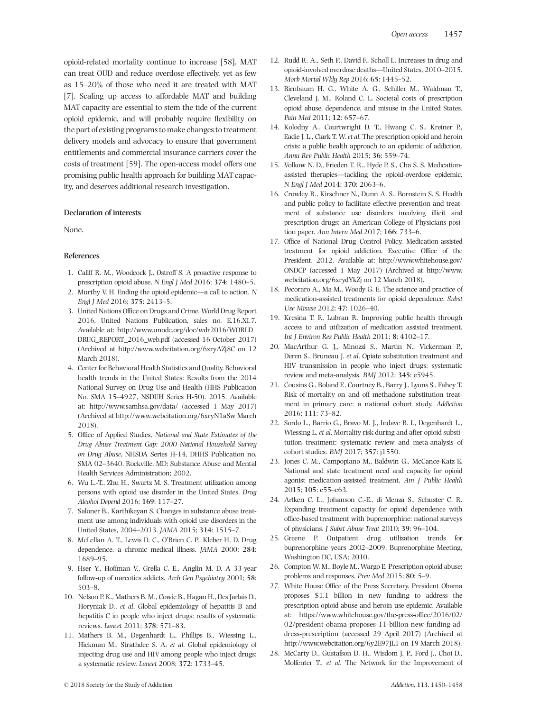opioid-related mortality continue to increase [58]. MAT can treat OUD and reduce overdose effectively, yet as few as 15–20% of those who need it are treated with MAT [7]. Scaling up access to affordable MAT and building MAT capacity are essential to stem the tide of the current opioid epidemic, and will probably require flexibility on the part of existing programs to make changes to treatment delivery models and advocacy to ensure that government entitlements and commercial insurance carriers cover the costs of treatment [59]. The open-access model offers one promising public health approach for building MAT capacity, and deserves additional research investigation.

# **Declaration of interests**

None.

#### **References**

- 1. Califf R. M., Woodcock J., Ostroff S. A proactive response to prescription opioid abuse. *N Engl J Med* 2016; **374**: 1480–5.
- 2. Murthy V. H. Ending the opioid epidemic—a call to action. *N Engl J Med* 2016; **375**: 2413–5.
- 3. United Nations Office on Drugs and Crime. World Drug Report 2016. United Nations Publication, sales no. E.16.XI.7. Available at: [http://www.unodc.org/doc/wdr2016/WORLD\\_](http://www.unodc.org/doc/wdr2016/WORLD_DRUG_REPORT_2016_web.pdf) [DRUG\\_REPORT\\_2016\\_web.pdf](http://www.unodc.org/doc/wdr2016/WORLD_DRUG_REPORT_2016_web.pdf) (accessed 16 October 2017) (Archived at<http://www.webcitation.org/6xryAZj8C> on 12 March 2018).
- 4. Center for Behavioral Health Statistics and Quality. Behavioral health trends in the United States: Results from the 2014 National Survey on Drug Use and Health (HHS Publication No. SMA 15–4927, NSDUH Series H-50). 2015. Available at: [http://www.samhsa.gov/data/](http://www.samhsa.gov/data) (accessed 1 May 2017) (Archived at<http://www.webcitation.org/6xryN1aSw> March 2018).
- 5. Office of Applied Studies. *National and State Estimates of the Drug Abuse Treatment Gap: 2000 National Household Survey on Drug Abuse*, NHSDA Series H-14, DHHS Publication no. SMA 02–3640. Rockville, MD: Substance Abuse and Mental Health Services Administration; 2002.
- 6. Wu L.-T., Zhu H., Swartz M. S. Treatment utilization among persons with opioid use disorder in the United States. *Drug Alcohol Depend* 2016; **169**: 117–27.
- 7. Saloner B., Karthikeyan S. Changes in substance abuse treatment use among individuals with opioid use disorders in the United States, 2004–2013. *JAMA* 2015; **314**: 1515–7.
- 8. McLellan A. T., Lewis D. C., O'Brien C. P., Kleber H. D. Drug dependence, a chronic medical illness. *JAMA* 2000; **284**: 1689–95.
- 9. Hser Y., Hoffman V., Grella C. E., Anglin M. D. A 33-year follow-up of narcotics addicts. *Arch Gen Psychiatry* 2001; **58**: 503–8.
- 10. Nelson P. K., Mathers B. M., Cowie B., Hagan H., Des Jarlais D., Horyniak D., *et al*. Global epidemiology of hepatitis B and hepatitis C in people who inject drugs: results of systematic reviews. *Lancet* 2011; **378**: 571–83.
- 11. Mathers B. M., Degenhardt L., Phillips B., Wiessing L., Hickman M., Strathdee S. A. *et al*. Global epidemiology of injecting drug use and HIV among people who inject drugs: a systematic review. *Lancet* 2008; **372**: 1733–45.
- 12. Rudd R. A., Seth P., David F., Scholl L. Increases in drug and opioid-involved overdose deaths—United States, 2010–2015. *Morb Mortal Wkly Rep* 2016; **65**: 1445–52.
- 13. Birnbaum H. G., White A. G., Schiller M., Waldman T., Cleveland J. M., Roland C. L. Societal costs of prescription opioid abuse, dependence, and misuse in the United States. *Pain Med* 2011; **12**: 657–67.
- 14. Kolodny A., Courtwright D. T., Hwang C. S., Kreiner P., Eadie J. L., Clark T. W. *et al*. The prescription opioid and heroin crisis: a public health approach to an epidemic of addiction. *Annu Rev Public Health* 2015; **36**: 559–74.
- 15. Volkow N. D., Frieden T. R., Hyde P. S., Cha S. S. Medicationassisted therapies—tackling the opioid-overdose epidemic. *N Engl J Med* 2014; **370**: 2063–6.
- 16. Crowley R., Kirschner N., Dunn A. S., Bornstein S. S. Health and public policy to facilitate effective prevention and treatment of substance use disorders involving illicit and prescription drugs: an American College of Physicians position paper. *Ann Intern Med* 2017; **166**: 733–6.
- 17. Office of National Drug Control Policy. Medication-assisted treatment for opioid addiction. Executive Office of the President. 2012. Available at: [http://www.whitehouse.gov/](http://www.whitehouse.gov/ONDCP) [ONDCP](http://www.whitehouse.gov/ONDCP) (accessed 1 May 2017) (Archived at [http://www.](http://www.webcitation.org/6xrydYkZj) [webcitation.org/6xrydYkZj](http://www.webcitation.org/6xrydYkZj) on 12 March 2018).
- 18. Pecoraro A., Ma M., Woody G. E. The science and practice of medication-assisted treatments for opioid dependence. *Subst Use Misuse* 2012; **47**: 1026–40.
- 19. Kresina T. F., Lubran R. Improving public health through access to and utilization of medication assisted treatment. *Int J Environ Res Public Health* 2011; **8**: 4102–17.
- 20. MacArthur G. J., Minozzi S., Martin N., Vickerman P., Deren S., Bruneau J. *et al*. Opiate substitution treatment and HIV transmission in people who inject drugs: systematic review and meta-analysis. *BMJ* 2012; **345**: e5945.
- 21. Cousins G., Boland F., Courtney B., Barry J., Lyons S., Fahey T. Risk of mortality on and off methadone substitution treatment in primary care: a national cohort study. *Addiction* 2016; **111**: 73–82.
- 22. Sordo L., Barrio G., Bravo M. J., Indave B. I., Degenhardt L., Wiessing L. *et al*. Mortality risk during and after opioid substitution treatment: systematic review and meta-analysis of cohort studies. *BMJ* 2017; **357**: j1550.
- 23. Jones C. M., Campopiano M., Baldwin G., McCance-Katz E. National and state treatment need and capacity for opioid agonist medication-assisted treatment. *Am J Public Health* 2015; **105**: e55–e63.
- 24. Arfken C. L., Johanson C.-E., di Menza S., Schuster C. R. Expanding treatment capacity for opioid dependence with office-based treatment with buprenorphine: national surveys of physicians. *J Subst Abuse Treat* 2010; **39**: 96–104.
- 25. Greene P. Outpatient drug utilization trends for buprenorphine years 2002–2009. Buprenorphine Meeting, Washington DC, USA; 2010.
- 26. Compton W. M., Boyle M., Wargo E. Prescription opioid abuse: problems and responses. *Prev Med* 2015; **80**: 5–9.
- 27. White House Office of the Press Secretary. President Obama proposes \$1.1 billion in new funding to address the prescription opioid abuse and heroin use epidemic. Available at: [https://www.whitehouse.gov/the-press-of](https://www.whitehouse.gov/the-press-office/2016/02/02/president-obama-proposes-11-billion-new-funding-address-prescription)fice/2016/02/ [02/president-obama-proposes-11-billion-new-funding-ad](https://www.whitehouse.gov/the-press-office/2016/02/02/president-obama-proposes-11-billion-new-funding-address-prescription)[dress-prescription](https://www.whitehouse.gov/the-press-office/2016/02/02/president-obama-proposes-11-billion-new-funding-address-prescription) (accessed 29 April 2017) (Archived at <http://www.webcitation.org/6y2E97JL1> on 19 March 2018).
- 28. McCarty D., Gustafson D. H., Wisdom J. P., Ford J., Choi D., Molfenter T., *et al*. The Network for the Improvement of